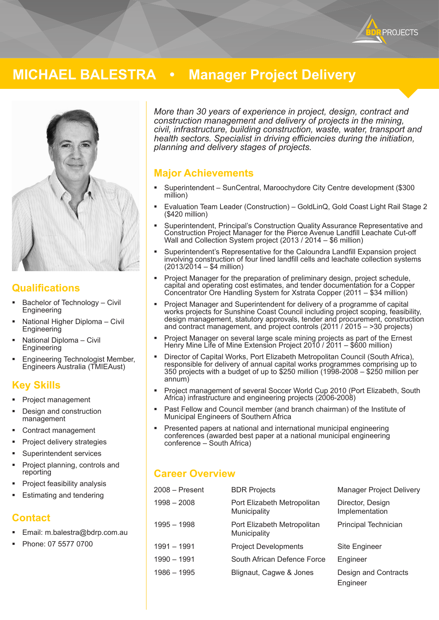

# **MICHAEL BALESTRA • Manager Project Delivery**



#### **Qualifications**

- Bachelor of Technology Civil **Engineering**
- National Higher Diploma Civil **Engineering**
- National Diploma Civil Engineering
- **Engineering Technologist Member,** Engineers Australia (TMIEAust)

#### **Key Skills**

- Project management
- Design and construction management
- Contract management
- Project delivery strategies
- Superintendent services
- Project planning, controls and reporting
- Project feasibility analysis
- Estimating and tendering

## **Contact**

- Email: m.balestra@bdrp.com.au
- Phone: 07 5577 0700

*More than 30 years of experience in project, design, contract and construction management and delivery of projects in the mining, civil, infrastructure, building construction, waste, water, transport and health sectors. Specialist in driving efficiencies during the initiation, planning and delivery stages of projects.*

## **Major Achievements**

- Superintendent SunCentral, Maroochydore City Centre development (\$300 million)
- Evaluation Team Leader (Construction) GoldLinQ, Gold Coast Light Rail Stage 2 (\$420 million)
- Superintendent, Principal's Construction Quality Assurance Representative and Construction Project Manager for the Pierce Avenue Landfill Leachate Cut-off Wall and Collection System project (2013 / 2014 – \$6 million)
- Superintendent's Representative for the Caloundra Landfill Expansion project involving construction of four lined landfill cells and leachate collection systems  $(2013/2014 - $4$  million)
- Project Manager for the preparation of preliminary design, project schedule, capital and operating cost estimates, and tender documentation for a Copper Concentrator Ore Handling System for Xstrata Copper (2011 – \$34 million)
- Project Manager and Superintendent for delivery of a programme of capital works projects for Sunshine Coast Council including project scoping, feasibility, design management, statutory approvals, tender and procurement, construction and contract management, and project controls (2011 / 2015 – >30 projects)
- Project Manager on several large scale mining projects as part of the Ernest Henry Mine Life of Mine Extension Project 2010 / 2011 – \$600 million)
- Director of Capital Works, Port Elizabeth Metropolitan Council (South Africa), responsible for delivery of annual capital works programmes comprising up to 350 projects with a budget of up to \$250 million (1998-2008 – \$250 million per annum)
- Project management of several Soccer World Cup 2010 (Port Elizabeth, South Africa) infrastructure and engineering projects (2006-2008)
- Past Fellow and Council member (and branch chairman) of the Institute of Municipal Engineers of Southern Africa
- Presented papers at national and international municipal engineering conferences (awarded best paper at a national municipal engineering conference – South Africa)

## **Career Overview**

| 2008 – Present | <b>BDR Projects</b>                         | Manager Project Delivery           |
|----------------|---------------------------------------------|------------------------------------|
| $1998 - 2008$  | Port Elizabeth Metropolitan<br>Municipality | Director, Design<br>Implementation |
| 1995 - 1998    | Port Elizabeth Metropolitan<br>Municipality | Principal Technician               |
| 1991 - 1991    | <b>Project Developments</b>                 | Site Engineer                      |
| 1990 - 1991    | South African Defence Force                 | Engineer                           |
| $1986 - 1995$  | Blignaut, Cagwe & Jones                     | Design and Contracts<br>Engineer   |